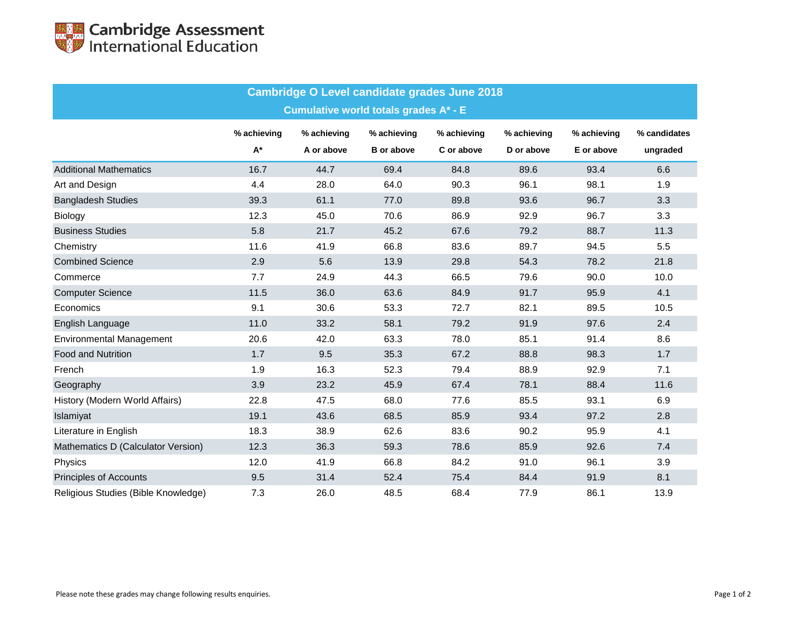| <b>Cambridge O Level candidate grades June 2018</b> |                    |             |                   |             |             |             |              |  |  |  |  |  |
|-----------------------------------------------------|--------------------|-------------|-------------------|-------------|-------------|-------------|--------------|--|--|--|--|--|
| <b>Cumulative world totals grades A* - E</b>        |                    |             |                   |             |             |             |              |  |  |  |  |  |
|                                                     | % achieving        | % achieving | % achieving       | % achieving | % achieving | % achieving | % candidates |  |  |  |  |  |
|                                                     | $\mathsf{A}^\star$ | A or above  | <b>B</b> or above | C or above  | D or above  | E or above  | ungraded     |  |  |  |  |  |
| <b>Additional Mathematics</b>                       | 16.7               | 44.7        | 69.4              | 84.8        | 89.6        | 93.4        | 6.6          |  |  |  |  |  |
| Art and Design                                      | 4.4                | 28.0        | 64.0              | 90.3        | 96.1        | 98.1        | 1.9          |  |  |  |  |  |
| <b>Bangladesh Studies</b>                           | 39.3               | 61.1        | 77.0              | 89.8        | 93.6        | 96.7        | 3.3          |  |  |  |  |  |
| Biology                                             | 12.3               | 45.0        | 70.6              | 86.9        | 92.9        | 96.7        | 3.3          |  |  |  |  |  |
| <b>Business Studies</b>                             | 5.8                | 21.7        | 45.2              | 67.6        | 79.2        | 88.7        | 11.3         |  |  |  |  |  |
| Chemistry                                           | 11.6               | 41.9        | 66.8              | 83.6        | 89.7        | 94.5        | 5.5          |  |  |  |  |  |
| <b>Combined Science</b>                             | 2.9                | 5.6         | 13.9              | 29.8        | 54.3        | 78.2        | 21.8         |  |  |  |  |  |
| Commerce                                            | 7.7                | 24.9        | 44.3              | 66.5        | 79.6        | 90.0        | 10.0         |  |  |  |  |  |
| <b>Computer Science</b>                             | 11.5               | 36.0        | 63.6              | 84.9        | 91.7        | 95.9        | 4.1          |  |  |  |  |  |
| Economics                                           | 9.1                | 30.6        | 53.3              | 72.7        | 82.1        | 89.5        | 10.5         |  |  |  |  |  |
| English Language                                    | 11.0               | 33.2        | 58.1              | 79.2        | 91.9        | 97.6        | 2.4          |  |  |  |  |  |
| <b>Environmental Management</b>                     | 20.6               | 42.0        | 63.3              | 78.0        | 85.1        | 91.4        | 8.6          |  |  |  |  |  |
| <b>Food and Nutrition</b>                           | 1.7                | 9.5         | 35.3              | 67.2        | 88.8        | 98.3        | 1.7          |  |  |  |  |  |
| French                                              | 1.9                | 16.3        | 52.3              | 79.4        | 88.9        | 92.9        | 7.1          |  |  |  |  |  |
| Geography                                           | 3.9                | 23.2        | 45.9              | 67.4        | 78.1        | 88.4        | 11.6         |  |  |  |  |  |
| History (Modern World Affairs)                      | 22.8               | 47.5        | 68.0              | 77.6        | 85.5        | 93.1        | 6.9          |  |  |  |  |  |
| Islamiyat                                           | 19.1               | 43.6        | 68.5              | 85.9        | 93.4        | 97.2        | 2.8          |  |  |  |  |  |
| Literature in English                               | 18.3               | 38.9        | 62.6              | 83.6        | 90.2        | 95.9        | 4.1          |  |  |  |  |  |
| Mathematics D (Calculator Version)                  | 12.3               | 36.3        | 59.3              | 78.6        | 85.9        | 92.6        | 7.4          |  |  |  |  |  |
| Physics                                             | 12.0               | 41.9        | 66.8              | 84.2        | 91.0        | 96.1        | 3.9          |  |  |  |  |  |
| <b>Principles of Accounts</b>                       | 9.5                | 31.4        | 52.4              | 75.4        | 84.4        | 91.9        | 8.1          |  |  |  |  |  |
| Religious Studies (Bible Knowledge)                 | 7.3                | 26.0        | 48.5              | 68.4        | 77.9        | 86.1        | 13.9         |  |  |  |  |  |